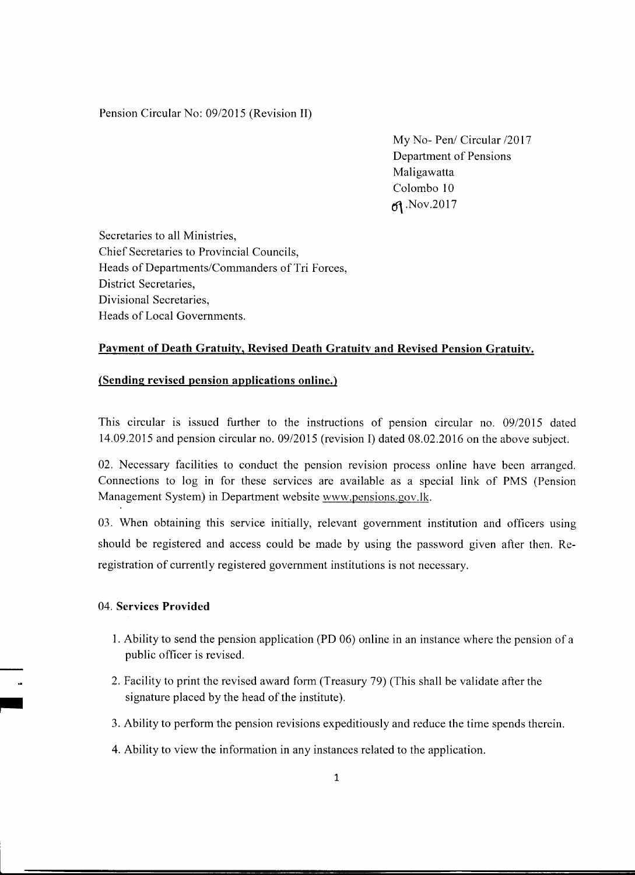#### Pension Circular No: 09/2015 (Revision II)

My No- Pen/ Circular /2017 Department of Pensions Maligawatta Colombo 10  $\mathfrak{g}$ . Nov. 2017

Secretaries to all Ministries, Chief Secretaries to Provincial Councils, Heads of Departments/Commanders of Tri Forces, District Secretaries. Divisional Secretaries. Heads of Local Governments.

### Payment of Death Gratuity, Revised Death Gratuity and Revised Pension Gratuity.

#### (Sending revised pension applications online.)

This circular is issued further to the instructions of pension circular no. 09/2015 dated 14.09.2015 and pension circular no. 09/2015 (revision I) dated 08.02.2016 on the above subject.

02. Necessary facilities to conduct the pension revision process online have been arranged. Connections to log in for these services are available as a special link of PMS (Pension Management System) in Department website www.pensions.gov.lk.

03. When obtaining this service initially, relevant government institution and officers using should be registered and access could be made by using the password given after then. Reregistration of currently registered government institutions is not necessary.

### 04. Services Provided

- 1. Ability to send the pension application (PD 06) online in an instance where the pension of a public officer is revised.
- 2. Facility to print the revised award form (Treasury 79) (This shall be validate after the signature placed by the head of the institute).
- 3. Ability to perform the pension revisions expeditiously and reduce the time spends therein.
- 4. Ability to view the information in any instances related to the application.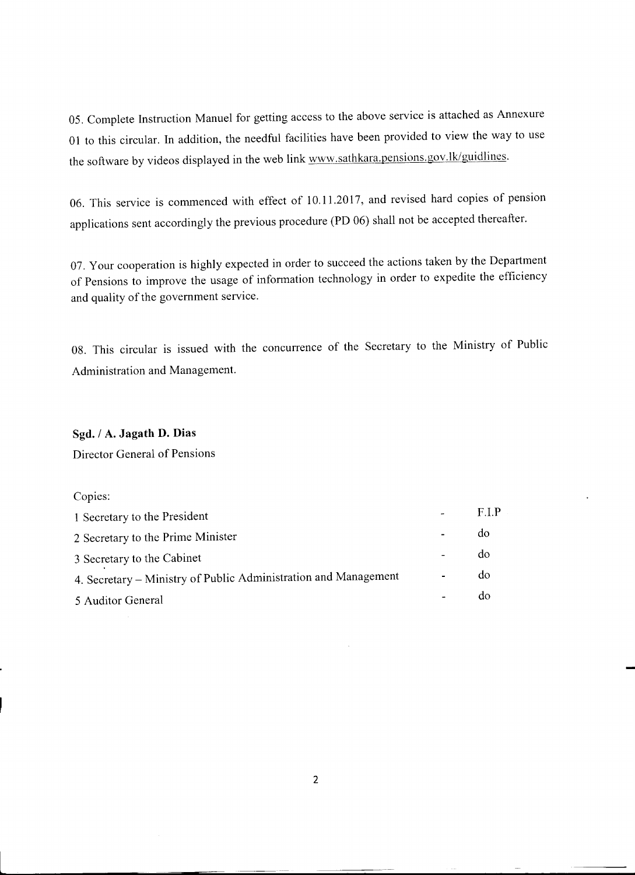05. Complete Instruction Manuel for getting access to the above service is attached as Annexure 01 to this circular. In addition, the needful facilities have been provided to view the way to use the software by videos displayed in the web link www.sathkara.pensions.gov.lk/guidlines.

06. This service is commenced with effect of 10.11.2017, and revised hard copies of pension applications sent accordingly the previous procedure (PD 06) shall not be accepted thereafter.

07. Your cooperation is highly expected in order to succeed the actions taken by the Department of Pensions to improve the usage of information technology in order to expedite the efficiency and quality of the government service.

08. This circular is issued with the concurrence of the Secretary to the Ministry of Public Administration and Management.

## Sgd. / A. Jagath D. Dias

Director General of Pensions

### Copies:

| 1 Secretary to the President                                    | FIP |
|-----------------------------------------------------------------|-----|
| 2 Secretary to the Prime Minister                               | do  |
| 3 Secretary to the Cabinet                                      | do  |
| 4. Secretary – Ministry of Public Administration and Management | do  |
| 5 Auditor General                                               | do  |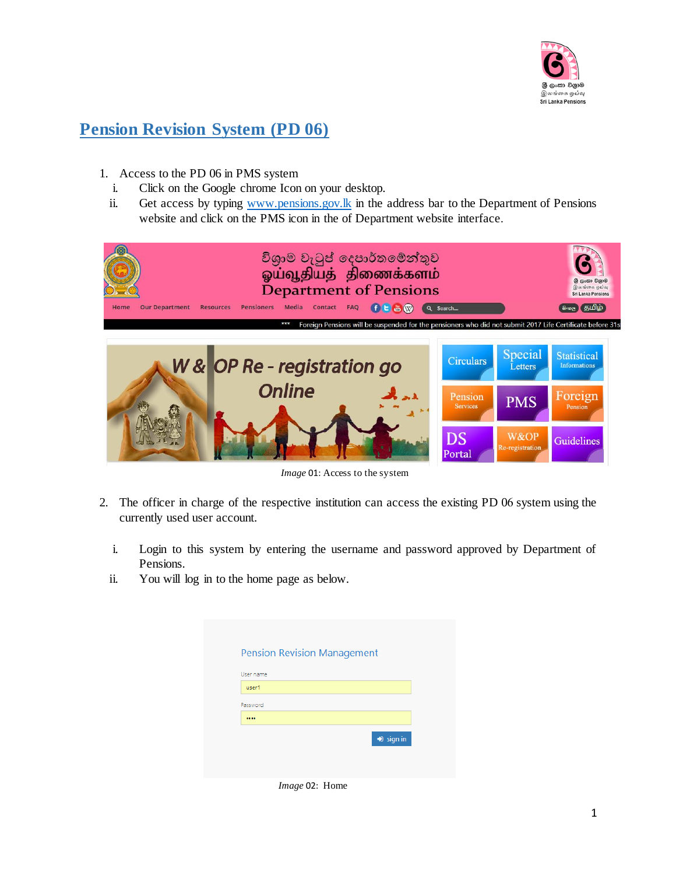

# **Pension Revision System (PD 06)**

- 1. Access to the PD 06 in PMS system
	- i. Click on the Google chrome Icon on your desktop.
	- ii. Get access by typin[g www.pensions.gov.lk](http://www.pensions.gov.lk/) in the address bar to the Department of Pensions website and click on the PMS icon in the of Department website interface.



 *Image* 01: Access to the system

- 2. The officer in charge of the respective institution can access the existing PD 06 system using the currently used user account.
	- i. Login to this system by entering the username and password approved by Department of Pensions.
	- ii. You will log in to the home page as below.

| user1    |
|----------|
|          |
| Password |
|          |

*Image* 02: Home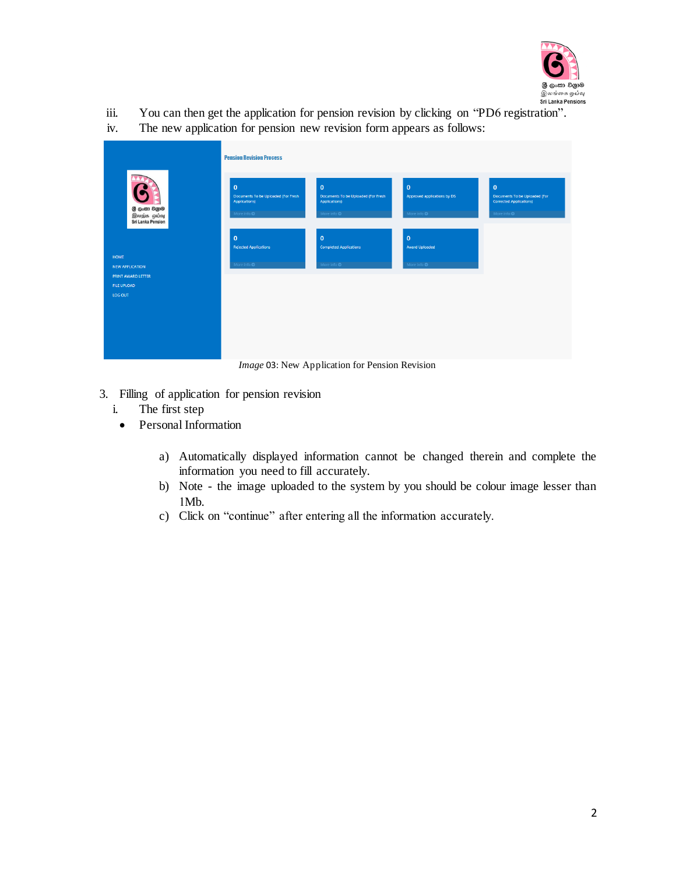

- iii. You can then get the application for pension revision by clicking on "PD6 registration".
- iv. The new application for pension new revision form appears as follows:

| <b>Pension Revision Process</b><br>$\mathbf 0$<br>$\mathbf{0}$<br>$\mathbf{0}$<br>$\mathbf{0}$<br>6<br>Documents To be Uploaded (For Fresh<br>Documents To be Uploaded (For Fresh<br>Approved applications by DS<br>Documents To be Uploaded (For<br><b>Corrected Applications)</b><br>Applications)<br>Applications)<br>ලී ලංකා වලාම<br>More info <b>O</b><br>More info <b>O</b><br>More info O<br>More info O<br>இலந்க ஓய்வு<br>Sri Lanka Pension<br>$\mathbf{0}$<br>$\mathbf{0}$<br>$\mathbf{0}$<br><b>Rejected Applications</b><br><b>Completed Applications</b><br><b>Award Uploaded</b><br><b>HOME</b><br>More info ©<br>More info ©<br>More info ©<br><b>NEW APPLICATION</b><br><b>PRINT AWARD LETTER</b><br>FILE UPLOAD<br>LOG OUT |  |  |  |  |
|--------------------------------------------------------------------------------------------------------------------------------------------------------------------------------------------------------------------------------------------------------------------------------------------------------------------------------------------------------------------------------------------------------------------------------------------------------------------------------------------------------------------------------------------------------------------------------------------------------------------------------------------------------------------------------------------------------------------------------------------|--|--|--|--|
|                                                                                                                                                                                                                                                                                                                                                                                                                                                                                                                                                                                                                                                                                                                                            |  |  |  |  |
|                                                                                                                                                                                                                                                                                                                                                                                                                                                                                                                                                                                                                                                                                                                                            |  |  |  |  |
|                                                                                                                                                                                                                                                                                                                                                                                                                                                                                                                                                                                                                                                                                                                                            |  |  |  |  |

*Image* 03: New Application for Pension Revision

- 3. Filling of application for pension revision
	- i. The first step
		- Personal Information
			- a) Automatically displayed information cannot be changed therein and complete the information you need to fill accurately.
			- b) Note the image uploaded to the system by you should be colour image lesser than 1Mb.
			- c) Click on "continue" after entering all the information accurately.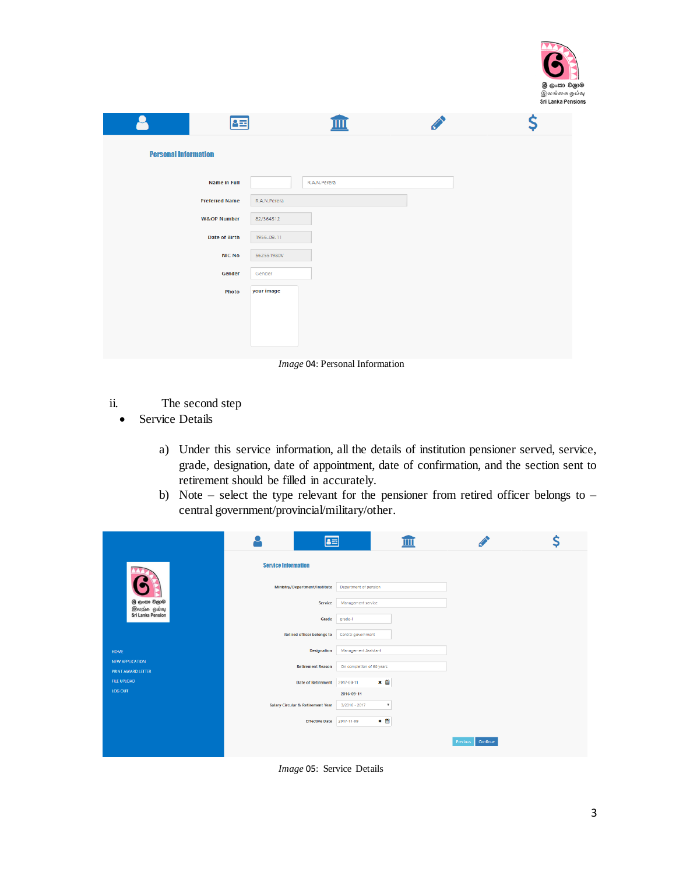

|                             | 8호                     |              |              |  |
|-----------------------------|------------------------|--------------|--------------|--|
| <b>Personal Information</b> |                        |              |              |  |
|                             | Name in Full           |              | R.A.N.Perera |  |
|                             | <b>Preferred Name</b>  | R.A.N.Perera |              |  |
|                             | <b>W&amp;OP Number</b> | 82/364312    |              |  |
|                             | <b>Date of Birth</b>   | 1956-09-11   |              |  |
|                             | <b>NIC No</b>          | 562551980V   |              |  |
|                             | Gender                 | Gender       |              |  |
|                             | Photo                  | your image   |              |  |
|                             |                        |              |              |  |
|                             |                        |              |              |  |
|                             |                        |              |              |  |

*Image* 04: Personal Information

- ii. The second step
	- Service Details
		- a) Under this service information, all the details of institution pensioner served, service, grade, designation, date of appointment, date of confirmation, and the section sent to retirement should be filled in accurately.
		- b) Note select the type relevant for the pensioner from retired officer belongs to central government/provincial/military/other.

|                    |                                              | $\blacktriangle \equiv$           |                                            |                      |  |
|--------------------|----------------------------------------------|-----------------------------------|--------------------------------------------|----------------------|--|
|                    |                                              | <b>Service Information</b>        |                                            |                      |  |
|                    |                                              | Ministry/Department/Institute     | Department of pension                      |                      |  |
|                    | ලී ලංකා වලාම<br>இலந்க ஓய்வு                  | Service                           | Management service                         |                      |  |
|                    | <b>Sri Lanka Pension</b>                     | Grade                             | grade-l                                    |                      |  |
|                    |                                              | <b>Retired officer belongs to</b> | Central government                         |                      |  |
| HOME               |                                              | <b>Designation</b>                | Management Assistant                       |                      |  |
|                    | <b>NEW APPLICATION</b><br>PRINT AWARD LETTER | <b>Retirement Reason</b>          | On completion of 60 years                  |                      |  |
| <b>FILE UPLOAD</b> |                                              | Date of Retirement 2017-09-11     | × 曲                                        |                      |  |
| LOG OUT            |                                              |                                   | 2016-09-11                                 |                      |  |
|                    |                                              | Salary Circular & Retirement Year | $\boldsymbol{\mathrm{v}}$<br>3/2016 - 2017 |                      |  |
|                    |                                              | <b>Effective Date</b>             | $x \nleftrightarrow$<br>2017-11-09         |                      |  |
|                    |                                              |                                   |                                            | Continue<br>Previous |  |

*Image* 05: Service Details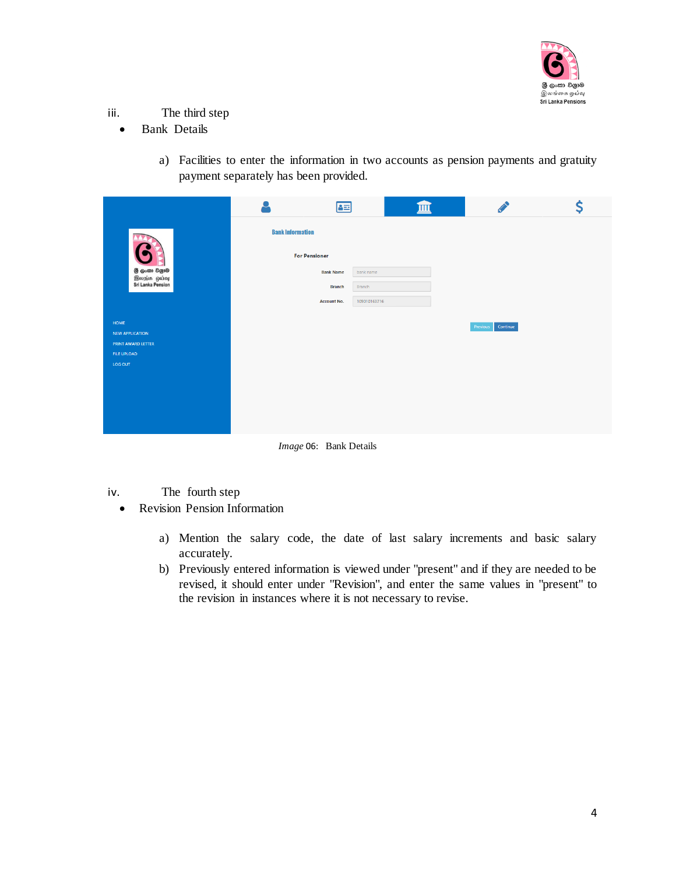

- iii. The third step
	- Bank Details
		- a) Facilities to enter the information in two accounts as pension payments and gratuity payment separately has been provided.

|         |                                                            |                         |                                                                            | Ş |
|---------|------------------------------------------------------------|-------------------------|----------------------------------------------------------------------------|---|
|         | 7Y)                                                        | <b>Bank Information</b> |                                                                            |   |
|         | <b>S</b>                                                   | <b>For Pensioner</b>    |                                                                            |   |
|         | இ் <b>டுංකා විශුාම</b><br>இலந்க ஒய்வு<br>Sri Lanka Pension | <b>Bank Name</b>        | bank name                                                                  |   |
|         |                                                            | <b>Branch</b>           | 48<br>Branch<br>109010163716<br><b>Account No.</b><br>Continue<br>Previous |   |
|         |                                                            |                         |                                                                            |   |
| HOME    |                                                            |                         |                                                                            |   |
|         | NEW APPLICATION                                            |                         |                                                                            |   |
|         | PRINT AWARD LETTER<br>FILE UPLOAD                          |                         |                                                                            |   |
| LOG OUT |                                                            |                         |                                                                            |   |
|         |                                                            |                         |                                                                            |   |
|         |                                                            |                         |                                                                            |   |
|         |                                                            |                         |                                                                            |   |
|         |                                                            |                         |                                                                            |   |
|         |                                                            |                         |                                                                            |   |

*Image* 06: Bank Details

- iv. The fourth step
	- Revision Pension Information
		- a) Mention the salary code, the date of last salary increments and basic salary accurately.
		- b) Previously entered information is viewed under "present" and if they are needed to be revised, it should enter under "Revision", and enter the same values in "present" to the revision in instances where it is not necessary to revise.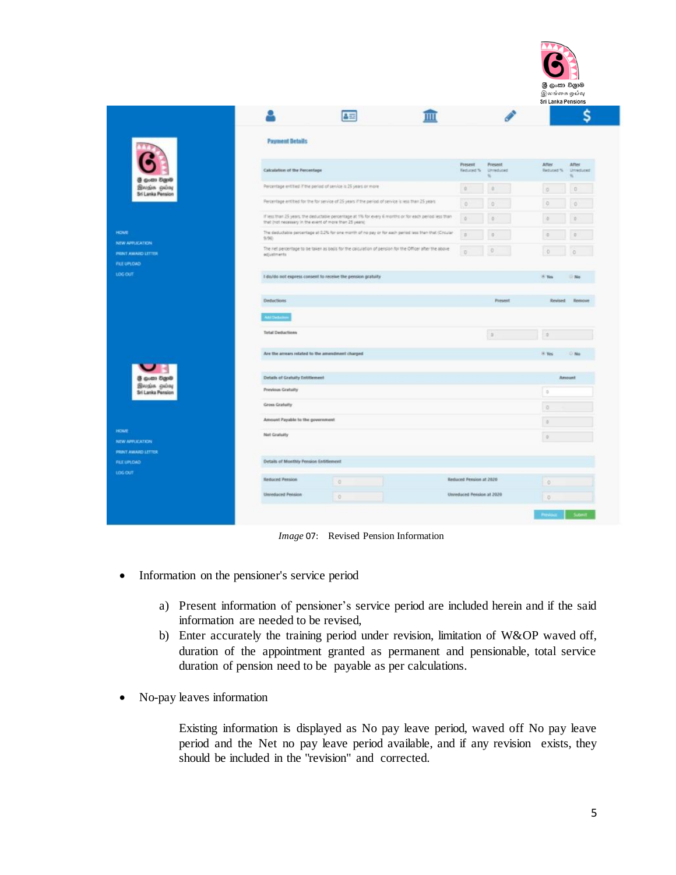

|                                                               |                                                                                                                                                                   |                                              | S                                             |
|---------------------------------------------------------------|-------------------------------------------------------------------------------------------------------------------------------------------------------------------|----------------------------------------------|-----------------------------------------------|
|                                                               | <b>Payment Details</b>                                                                                                                                            |                                              |                                               |
|                                                               | Calculation of the Percentage                                                                                                                                     | Present<br>Present<br>Reduced %<br>Unreduced | After<br>After.<br>Reduced %<br>Umeduced<br>u |
| @ gozzo Egy@<br>Brogin pulsy<br><b>Sri Lanka Pension</b>      | Percentage entitled if the period of service is 25 years or more                                                                                                  | $\theta$                                     | $\overline{\mathbb{O}}$<br>o                  |
|                                                               | Percentage entities for the forcience of 25 years if the period of service is less than 25 years.                                                                 | -0<br>n                                      | o                                             |
|                                                               | If less than 25 years. the deductable percentage at 1% for every 6 months or for each period less than<br>that (not necessary in the event of more than 25 years) | n                                            |                                               |
| <b>HOME</b>                                                   | The deductable percentage at 0.2% for one month of no pay or for each period less than that (Circular<br>9/96)                                                    | n                                            |                                               |
| <b>NEW APPLICATION:</b><br>PRINT AWARD LETTER<br>FILE UPLOAD: | The net percentage to be taken as basis for the calculation of persion for the Officer after the above<br>adjustments                                             |                                              | $\circ$                                       |
| LOG OUT                                                       | I do/do not express consent to receive the pension gratuity                                                                                                       |                                              | $%$ Yea<br><b>No</b>                          |
|                                                               | <b>Deductions</b>                                                                                                                                                 | Present                                      | Revised<br>Remove                             |
|                                                               | <b>All Debate</b>                                                                                                                                                 |                                              |                                               |
|                                                               | <b>Total Deductions</b>                                                                                                                                           | $\mathbb{R}$                                 | a                                             |
|                                                               | Are the amuars related to the amendment charged                                                                                                                   |                                              | IF Yes<br>$-100$                              |
| @ guest Bigo@                                                 | Details of Gratuity Entitlement                                                                                                                                   |                                              | Amount                                        |
| இலங்க ஓய்வு<br><b>Sri Lanka Pension</b>                       | Previous Gratuity                                                                                                                                                 |                                              | $\alpha$                                      |
|                                                               | Gross Gratuity                                                                                                                                                    |                                              | $\Omega$                                      |
|                                                               | Amount Payable to the government.                                                                                                                                 |                                              | 16                                            |
| <b>HOME</b><br><b>NEW APPLICATION</b>                         | Net Gratuity                                                                                                                                                      |                                              | id.                                           |
| PRINT AWARD LETTER<br>FILE UPLOAD:                            | Details of Monthly Pension Entitlement                                                                                                                            |                                              |                                               |
| <b>106 00T</b>                                                | <b>Reduced Pension</b><br>O.                                                                                                                                      | Reduced Pension at 2020                      | $\circ$                                       |
|                                                               | Unreduced Pension                                                                                                                                                 | Unireduced Pension at 2020                   |                                               |
|                                                               | $\circ$                                                                                                                                                           |                                              | $\overline{Q}$                                |

*Image* 07: Revised Pension Information

- Information on the pensioner's service period
	- a) Present information of pensioner's service period are included herein and if the said information are needed to be revised,
	- b) Enter accurately the training period under revision, limitation of W&OP waved off, duration of the appointment granted as permanent and pensionable, total service duration of pension need to be payable as per calculations.
- No-pay leaves information

Existing information is displayed as No pay leave period, waved off No pay leave period and the Net no pay leave period available, and if any revision exists, they should be included in the "revision" and corrected.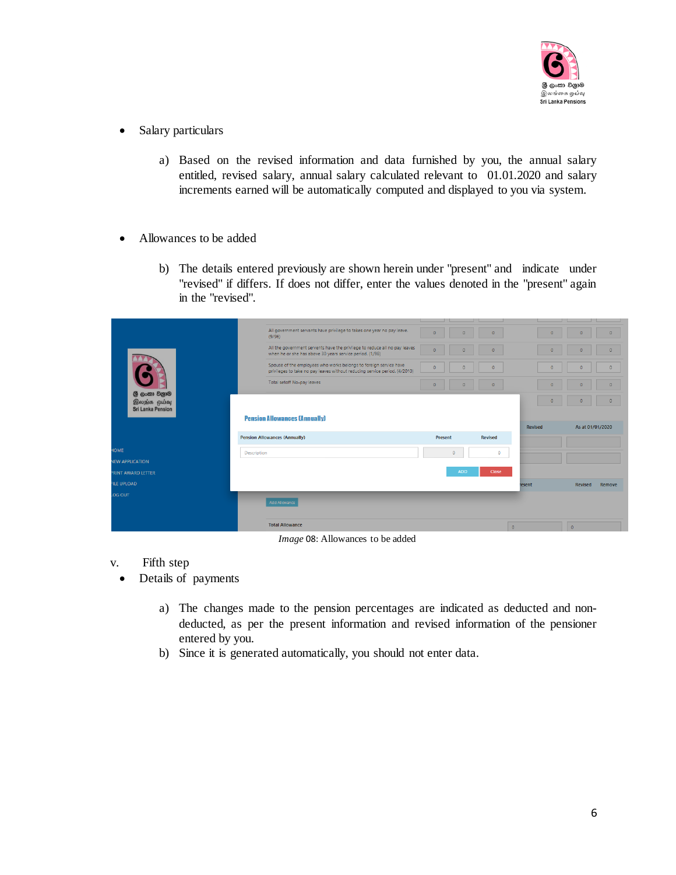

- Salary particulars
	- a) Based on the revised information and data furnished by you, the annual salary entitled, revised salary, annual salary calculated relevant to 01.01.2020 and salary increments earned will be automatically computed and displayed to you via system.
- Allowances to be added
	- b) The details entered previously are shown herein under "present" and indicate under "revised" if differs. If does not differ, enter the values denoted in the "present" again in the "revised".

|                                                          | All government servants have privilege to takes one year no pay leave.<br>(9/96)                                                                | $\Omega$   | $\Omega$<br>$\circ$ | $\circ$       | $\Omega$<br>$\Omega$ |
|----------------------------------------------------------|-------------------------------------------------------------------------------------------------------------------------------------------------|------------|---------------------|---------------|----------------------|
|                                                          | All the government servents have the privilege to reduce all no pay leaves<br>when he or she has above 30 years service period. (1/98)          | $\Omega$   | $\circ$<br>$\circ$  | $\circ$       | $\circ$<br>$\circ$   |
|                                                          | Spouse of the employees who works belongs to foreign service have<br>privileges to take no pay leaves without reducing service period. (4/2010) | $\Omega$   | $\circ$<br>$\circ$  | $\circ$       | $\circ$<br>$\circ$   |
|                                                          | Total setoff No-pay leaves                                                                                                                      | $\circ$    | $\circ$<br>$\circ$  | $\circ$       | $\circ$<br>$\circ$   |
| ලී ලංකා විලාම<br>இலந்க ஒய்வு<br><b>Sri Lanka Pension</b> |                                                                                                                                                 |            |                     | $\circ$       | $\circ$<br>$\circ$   |
|                                                          | <b>Pension Allowances (Annually)</b>                                                                                                            |            |                     | Revised       | As at 01/01/2020     |
|                                                          | <b>Pension Allowances (Annually)</b>                                                                                                            | Present    | <b>Revised</b>      |               |                      |
| <b>IOME</b>                                              | <b>Description</b>                                                                                                                              | $\circ$    | $\mathbf{0}$        |               |                      |
| <b>JEW APPLICATION</b>                                   |                                                                                                                                                 | <b>ADD</b> | Close               |               |                      |
| <b>RINT AWARD LETTER</b>                                 |                                                                                                                                                 |            |                     |               |                      |
| <b>ILE UPLOAD</b>                                        |                                                                                                                                                 |            |                     | <b>resent</b> | Revised<br>Remove    |
| OG OUT                                                   | <b>Add Allowance</b>                                                                                                                            |            |                     |               |                      |
|                                                          | <b>Total Allowance</b>                                                                                                                          |            |                     | $\circ$       | $\circ$              |

*Image* 08: Allowances to be added

- v. Fifth step
- Details of payments
	- a) The changes made to the pension percentages are indicated as deducted and nondeducted, as per the present information and revised information of the pensioner entered by you.
	- b) Since it is generated automatically, you should not enter data.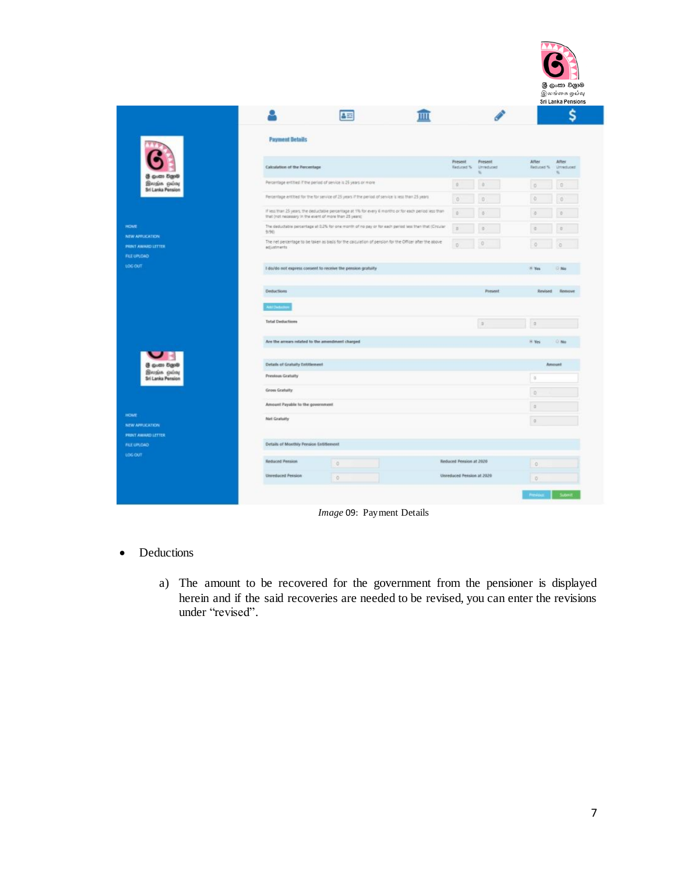

|                                                 |                                                                                                                                                                   |                         |                      |                     | Ś                   |
|-------------------------------------------------|-------------------------------------------------------------------------------------------------------------------------------------------------------------------|-------------------------|----------------------|---------------------|---------------------|
|                                                 | <b>Payment Details</b>                                                                                                                                            |                         |                      |                     |                     |
| @ gozzo Egy@                                    | Calculation of the Percentage                                                                                                                                     | Present<br>Reduced %    | Present<br>Unreduced | After<br>Returned % | After.<br>Unreduced |
| <b>Brosin pulsy</b><br><b>Sri Lanka Pension</b> | Percentage entitled if the period of service is 25 years or more                                                                                                  | $\alpha$                | a                    | $\overline{D}$      | Ð                   |
|                                                 | Percentage entities for the for service of 25 years if the period of service is less than 25 years                                                                | $\circ$                 | o                    | Đ.                  | ø                   |
|                                                 | If less than 25 years, the deductable percentage at 1% for every 6 months or for each period less than<br>that (not necessary in the event of more than 25 years) | $\alpha$                | B                    | <b>VS</b>           |                     |
| HOME.<br><b>NEW APPLICATION:</b>                | The deductable percentage at 0.2% for one month of no pay or for each period less than that (Circular<br>9/96)                                                    | $\Omega$                |                      | 活                   | $\overline{15}$     |
| PRINT AWARD LETTER<br>FILE UPLOAD               | The net percentage to be taken as basis for the calculation of persion for the Officer after the above<br>adjustments                                             |                         |                      | $\circ$             |                     |
| LOG OUT                                         | I do/do not express consent to receive the pension gratuity                                                                                                       |                         |                      | 8 Yes               | <b>No</b>           |
|                                                 |                                                                                                                                                                   |                         |                      |                     |                     |
|                                                 | <b>Defluctions</b>                                                                                                                                                |                         | Present              | Revised             | Remove              |
|                                                 |                                                                                                                                                                   |                         |                      |                     |                     |
|                                                 | <b>Add Deduces</b>                                                                                                                                                |                         |                      |                     |                     |
|                                                 | <b>Total Dedactions</b>                                                                                                                                           |                         | $\sim$               | is                  |                     |
|                                                 | Are the amuan related to the amendment charged                                                                                                                    |                         |                      | H. Ves              | C No.               |
| <b>BiggS (Gull)</b>                             | Details of Gratuity Entitlement                                                                                                                                   |                         |                      | Amount              |                     |
| இலங்க ஓய்வு<br><b>Sri Lanka Pension</b>         | Previous Gratuity                                                                                                                                                 |                         |                      | $\alpha$            |                     |
|                                                 | Gross Gratuity                                                                                                                                                    |                         |                      | $\Omega$            |                     |
|                                                 | Amount Payable to the government.                                                                                                                                 |                         |                      | i gi                |                     |
| HOME                                            | Net Gratuity                                                                                                                                                      |                         |                      | $\alpha$            |                     |
| NEW APPLICATION<br><b>PRINT AWARD LETTER</b>    |                                                                                                                                                                   |                         |                      |                     |                     |
| FILE UPLOAD:                                    | Details of Monthly Pension Entitlement                                                                                                                            |                         |                      |                     |                     |
| 106007                                          | <b>Reduced Pension</b><br>$\overline{0}$                                                                                                                          | Reduced Pension at 2020 |                      | $\circ$             |                     |

*Image* 09: Payment Details

- Deductions
	- a) The amount to be recovered for the government from the pensioner is displayed herein and if the said recoveries are needed to be revised, you can enter the revisions under "revised".